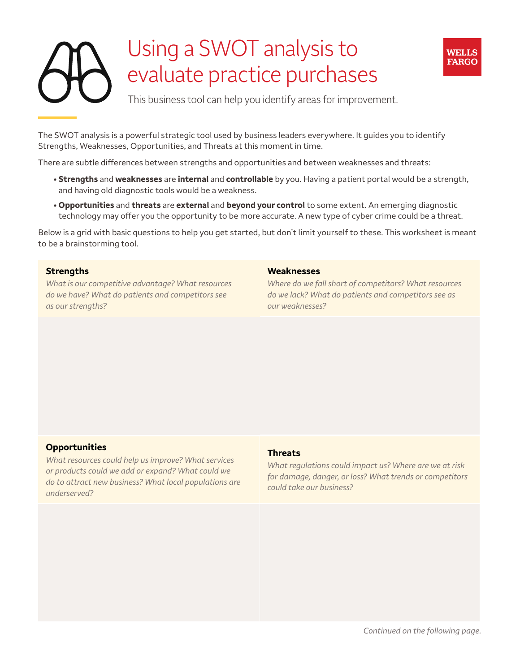# Using a SWOT analysis to evaluate practice purchases



This business tool can help you identify areas for improvement.

The SWOT analysis is a powerful strategic tool used by business leaders everywhere. It guides you to identify Strengths, Weaknesses, Opportunities, and Threats at this moment in time.

There are subtle differences between strengths and opportunities and between weaknesses and threats:

- **Strengths** and **weaknesses** are **internal** and **controllable** by you. Having a patient portal would be a strength, and having old diagnostic tools would be a weakness.
- **Opportunities** and **threats** are **external** and **beyond your control** to some extent. An emerging diagnostic technology may offer you the opportunity to be more accurate. A new type of cyber crime could be a threat.

Below is a grid with basic questions to help you get started, but don't limit yourself to these. This worksheet is meant to be a brainstorming tool.

## **Strengths**

*What is our competitive advantage? What resources do we have? What do patients and competitors see as our strengths?* 

#### **Weaknesses**

*Where do we fall short of competitors? What resources do we lack? What do patients and competitors see as our weaknesses?* 

## **Opportunities**

*What resources could help us improve? What services or products could we add or expand? What could we do to attract new business? What local populations are underserved?* 

#### **Threats**

*What regulations could impact us? Where are we at risk for damage, danger, or loss? What trends or competitors could take our business?*